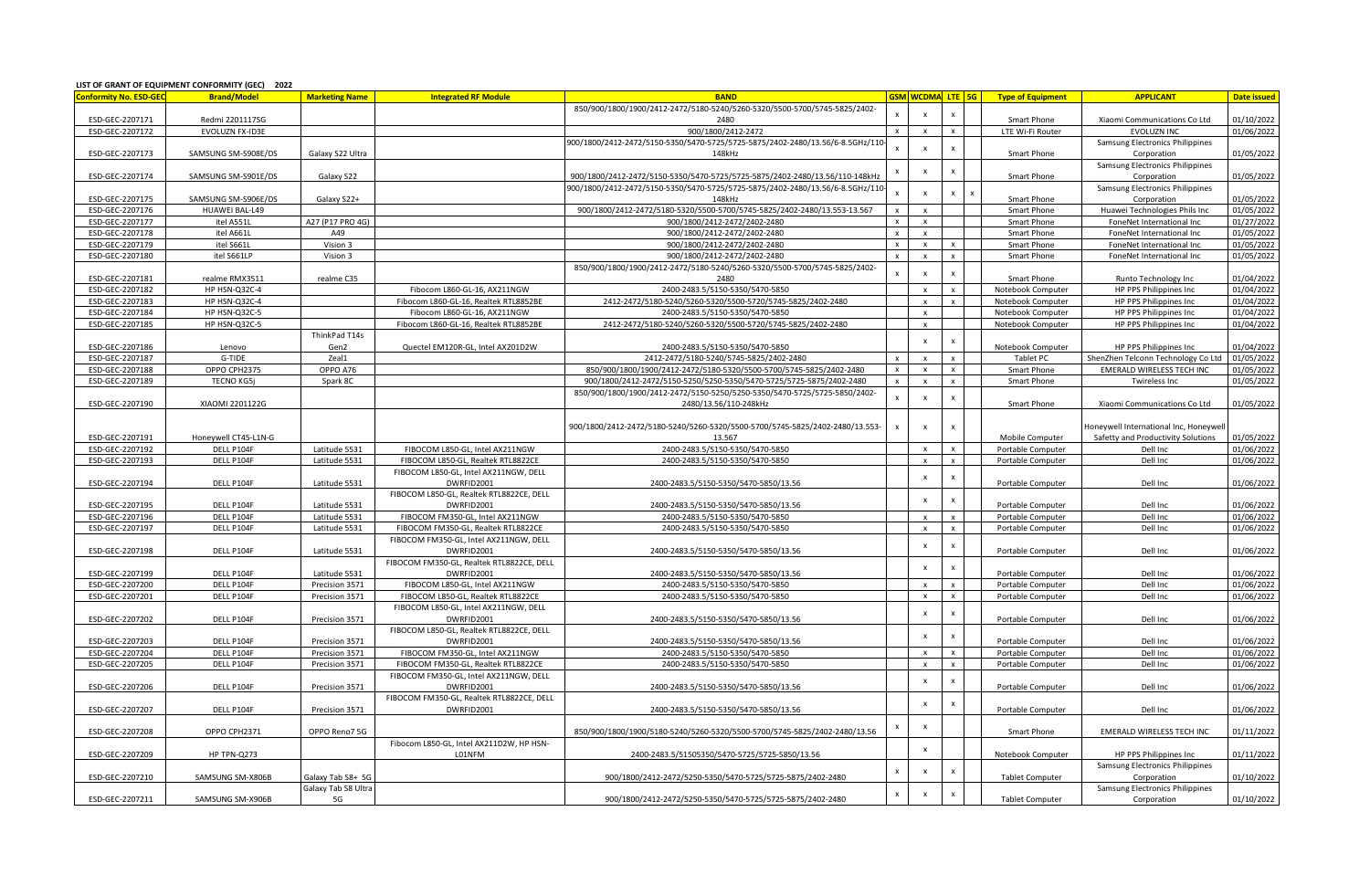|                        | LIST OF GRANT OF EQUIPMENT CONFORMITY (GEC) 2022 |                       |                                                        |                                                                                |                  |                           |                           |                          |                                       |                          |
|------------------------|--------------------------------------------------|-----------------------|--------------------------------------------------------|--------------------------------------------------------------------------------|------------------|---------------------------|---------------------------|--------------------------|---------------------------------------|--------------------------|
| Conformity No. ESD-GEC | <b>Brand/Model</b>                               | <b>Marketing Name</b> | <b>Integrated RF Module</b>                            | <b>BAND</b>                                                                    |                  | <b>GSM</b> WCDMA LTE 5G   |                           | <b>Type of Equipment</b> | <b>APPLICANT</b>                      | <b>Date issued</b>       |
|                        |                                                  |                       |                                                        | 850/900/1800/1900/2412-2472/5180-5240/5260-5320/5500-5700/5745-5825/2402-      |                  | x                         | $\mathsf{x}$              |                          |                                       |                          |
| ESD-GEC-2207171        | Redmi 2201117SG                                  |                       |                                                        | 2480                                                                           |                  |                           |                           | Smart Phone              | Xiaomi Communications Co Ltd          | 01/10/2022               |
| ESD-GEC-2207172        | EVOLUZN FX-ID3E                                  |                       |                                                        | 900/1800/2412-2472                                                             | $\times$         | $\boldsymbol{\mathsf{x}}$ | $\boldsymbol{\mathsf{x}}$ | LTE Wi-Fi Router         | EVOLUZN INC                           | 01/06/2022               |
|                        |                                                  |                       |                                                        | 900/1800/2412-2472/5150-5350/5470-5725/5725-5875/2402-2480/13.56/6-8.5GHz/110- | $\boldsymbol{x}$ | x                         | $\mathsf{x}$              |                          | Samsung Electronics Philippines       |                          |
| ESD-GEC-2207173        | SAMSUNG SM-S908E/DS                              | Galaxy S22 Ultra      |                                                        | 148kHz                                                                         |                  |                           |                           | Smart Phone              | Corporation                           | 01/05/2022               |
|                        |                                                  |                       |                                                        |                                                                                |                  |                           | X                         |                          | Samsung Electronics Philippines       |                          |
| ESD-GEC-2207174        | SAMSUNG SM-S901E/DS                              | Galaxy S22            |                                                        | 900/1800/2412-2472/5150-5350/5470-5725/5725-5875/2402-2480/13.56/110-148kHz    |                  |                           |                           | Smart Phone              | Corporation                           | 01/05/2022               |
|                        |                                                  |                       |                                                        | 900/1800/2412-2472/5150-5350/5470-5725/5725-5875/2402-2480/13.56/6-8.5GHz/110- |                  | $\boldsymbol{\mathsf{x}}$ | $\mathsf{x}$              |                          | Samsung Electronics Philippines       |                          |
| ESD-GEC-2207175        | SAMSUNG SM-S906E/DS                              | Galaxy S22+           |                                                        | 148kHz                                                                         |                  |                           |                           | Smart Phone              | Corporation                           | 01/05/2022               |
| ESD-GEC-2207176        | <b>HUAWEI BAL-L49</b>                            |                       |                                                        | 900/1800/2412-2472/5180-5320/5500-5700/5745-5825/2402-2480/13.553-13.567       |                  | $\boldsymbol{\mathsf{x}}$ |                           | Smart Phone              | Huawei Technologies Phils Inc         | 01/05/2022               |
| ESD-GEC-2207177        | itel A551                                        | A27 (P17 PRO 4G)      |                                                        | 900/1800/2412-2472/2402-2480                                                   |                  | $\boldsymbol{\mathsf{x}}$ |                           | Smart Phone              | FoneNet International Inc             | 01/27/2022               |
| ESD-GEC-2207178        | itel A661L                                       | A49                   |                                                        | 900/1800/2412-2472/2402-2480                                                   | $\mathsf{x}$     | $\mathsf{x}$              |                           | Smart Phone              | FoneNet International Inc             | 01/05/2022               |
| ESD-GEC-2207179        | itel S661L                                       | Vision 3              |                                                        | 900/1800/2412-2472/2402-2480                                                   | $\mathsf{x}$     | $\mathbf{x}$              |                           | Smart Phone              | FoneNet International Inc             | 01/05/2022               |
| ESD-GEC-2207180        | itel S661LP                                      | Vision 3              |                                                        | 900/1800/2412-2472/2402-2480                                                   |                  |                           |                           | Smart Phone              | FoneNet International Inc             | 01/05/2022               |
|                        |                                                  |                       |                                                        | 850/900/1800/1900/2412-2472/5180-5240/5260-5320/5500-5700/5745-5825/2402-      |                  | $\boldsymbol{\mathsf{x}}$ | X                         |                          |                                       |                          |
| ESD-GEC-2207181        | realme RMX3511                                   | realme C35            |                                                        | 2480                                                                           |                  |                           |                           | Smart Phone              | Runto Technology Inc                  | 01/04/2022               |
| ESD-GEC-2207182        | HP HSN-Q32C-4                                    |                       | Fibocom L860-GL-16, AX211NGW                           | 2400-2483.5/5150-5350/5470-5850                                                |                  | $\boldsymbol{\mathsf{x}}$ | $\boldsymbol{\mathsf{x}}$ | Notebook Computer        | HP PPS Philippines Inc                | 01/04/2022               |
| ESD-GEC-2207183        | HP HSN-Q32C-4                                    |                       | Fibocom L860-GL-16, Realtek RTL8852BE                  | 2412-2472/5180-5240/5260-5320/5500-5720/5745-5825/2402-2480                    |                  | $\mathsf{x}$              | $\mathsf{x}$              | Notebook Computer        | HP PPS Philippines Inc                | 01/04/2022               |
| ESD-GEC-2207184        | HP HSN-Q32C-5                                    |                       | Fibocom L860-GL-16, AX211NGW                           | 2400-2483.5/5150-5350/5470-5850                                                |                  | $\boldsymbol{\mathsf{x}}$ |                           | Notebook Computer        | HP PPS Philippines Inc.               | 01/04/2022               |
| ESD-GEC-2207185        | HP HSN-Q32C-5                                    |                       | Fibocom L860-GL-16, Realtek RTL8852BE                  | 2412-2472/5180-5240/5260-5320/5500-5720/5745-5825/2402-2480                    |                  | $\mathbf{x}$              |                           | Notebook Computer        | HP PPS Philippines Inc                | 01/04/2022               |
|                        |                                                  | ThinkPad T14s         |                                                        |                                                                                |                  |                           |                           |                          |                                       |                          |
| ESD-GEC-2207186        | Lenovo                                           | Gen2                  | Quectel EM120R-GL, Intel AX201D2W                      | 2400-2483.5/5150-5350/5470-5850                                                |                  | x                         | x                         | Notebook Computer        | HP PPS Philippines Inc                | 01/04/2022               |
| ESD-GEC-2207187        | G-TIDE                                           | Zeal1                 |                                                        | 2412-2472/5180-5240/5745-5825/2402-2480                                        |                  |                           | $\boldsymbol{\mathsf{x}}$ | Tablet PC                | ShenZhen Telconn Technology Co Ltd    | 01/05/2022               |
| ESD-GEC-2207188        | OPPO CPH2375                                     | OPPO A76              |                                                        | 850/900/1800/1900/2412-2472/5180-5320/5500-5700/5745-5825/2402-2480            | $\times$         | $\mathbf{x}$              | $\mathbf{x}$              | Smart Phone              | EMERALD WIRELESS TECH INC             | 01/05/2022               |
| ESD-GEC-2207189        | <b>TECNO KG5j</b>                                | Spark 8C              |                                                        | 900/1800/2412-2472/5150-5250/5250-5350/5470-5725/5725-5875/2402-2480           | $\mathsf{x}$     | $\mathsf{x}$              | $\pmb{\chi}$              | Smart Phone              | Twireless Inc                         | 01/05/2022               |
|                        |                                                  |                       |                                                        | 850/900/1800/1900/2412-2472/5150-5250/5250-5350/5470-5725/5725-5850/2402-      |                  |                           |                           |                          |                                       |                          |
| ESD-GEC-2207190        | XIAOMI 2201122G                                  |                       |                                                        | 2480/13.56/110-248kHz                                                          |                  | $\boldsymbol{\mathsf{x}}$ |                           | Smart Phone              | Xiaomi Communications Co Ltd          | 01/05/2022               |
|                        |                                                  |                       |                                                        |                                                                                |                  |                           |                           |                          |                                       |                          |
|                        |                                                  |                       |                                                        | 900/1800/2412-2472/5180-5240/5260-5320/5500-5700/5745-5825/2402-2480/13.553-   |                  | $\pmb{\times}$            |                           |                          | Honeywell International Inc, Honeywel |                          |
| ESD-GEC-2207191        | Honeywell CT45-L1N-G                             |                       |                                                        | 13.567                                                                         |                  |                           |                           | Mobile Computer          | Safetty and Productivity Solutions    | 01/05/2022               |
| ESD-GEC-2207192        | DELL P104F                                       | Latitude 5531         | FIBOCOM L850-GL, Intel AX211NGW                        | 2400-2483.5/5150-5350/5470-5850                                                |                  | $\boldsymbol{\mathsf{x}}$ | $\boldsymbol{\mathsf{x}}$ | Portable Computer        | Dell Inc                              | 01/06/2022               |
| ESD-GEC-2207193        | DELL P104F                                       | Latitude 5531         | FIBOCOM L850-GL, Realtek RTL8822CE                     | 2400-2483.5/5150-5350/5470-5850                                                |                  | $\boldsymbol{\mathsf{x}}$ | $\pmb{\chi}$              | Portable Computer        | Dell Inc                              | 01/06/2022               |
|                        |                                                  |                       | FIBOCOM L850-GL, Intel AX211NGW, DELL                  |                                                                                |                  |                           |                           |                          |                                       |                          |
| ESD-GEC-2207194        | DELL P104F                                       | Latitude 5531         | DWRFID2001                                             | 2400-2483.5/5150-5350/5470-5850/13.56                                          |                  | x                         | X                         | Portable Computer        | Dell Inc                              | 01/06/2022               |
|                        |                                                  |                       | FIBOCOM L850-GL, Realtek RTL8822CE, DELL               |                                                                                |                  |                           |                           |                          |                                       |                          |
| ESD-GEC-2207195        | DELL P104F                                       | Latitude 5531         | DWRFID2001                                             | 2400-2483.5/5150-5350/5470-5850/13.56                                          |                  | $\boldsymbol{\mathsf{x}}$ | X                         | Portable Computer        | Dell Inc                              | 01/06/2022               |
| ESD-GEC-2207196        | DELL P104F                                       | Latitude 5531         | FIBOCOM FM350-GL, Intel AX211NGW                       | 2400-2483.5/5150-5350/5470-5850                                                |                  |                           | $\mathsf{x}$              | Portable Computer        | Dell Inc                              | 01/06/2022               |
| ESD-GEC-2207197        | DELL P104F                                       | Latitude 5531         | FIBOCOM FM350-GL, Realtek RTL8822CE                    | 2400-2483.5/5150-5350/5470-5850                                                |                  | $\mathbf{x}$              | $\mathbf{x}$              | Portable Computer        | Dell Inc                              | 01/06/2022               |
|                        |                                                  |                       | FIBOCOM FM350-GL, Intel AX211NGW, DELL                 |                                                                                |                  |                           |                           |                          |                                       |                          |
| ESD-GEC-2207198        | DELL P104F                                       | Latitude 5531         | DWRFID2001                                             | 2400-2483.5/5150-5350/5470-5850/13.56                                          |                  | x                         | X                         | Portable Computer        | Dell Inc                              | 01/06/2022               |
|                        |                                                  |                       | FIBOCOM FM350-GL, Realtek RTL8822CE, DELL              |                                                                                |                  |                           |                           |                          |                                       |                          |
| ESD-GEC-2207199        | DELL P104F                                       | Latitude 5531         | DWRFID2001                                             | 2400-2483.5/5150-5350/5470-5850/13.56                                          |                  | $\mathsf{x}$              | $\mathsf{x}$              | Portable Computer        | Dell Inc                              | 01/06/2022               |
| ESD-GEC-2207200        | DELL P104F                                       | Precision 3571        | FIBOCOM L850-GL, Intel AX211NGW                        | 2400-2483.5/5150-5350/5470-5850                                                |                  |                           | $\boldsymbol{\mathsf{x}}$ | Portable Computer        | Dell Inc                              | 01/06/2022               |
| ESD-GEC-2207201        | DELL P104F                                       | Precision 3571        | FIBOCOM L850-GL, Realtek RTL8822CE                     | 2400-2483.5/5150-5350/5470-5850                                                |                  | $\mathbf{x}$              | $\pmb{\chi}$              | Portable Computer        | Dell Inc                              | 01/06/2022               |
|                        |                                                  |                       |                                                        |                                                                                |                  |                           |                           |                          |                                       |                          |
|                        |                                                  |                       | FIBOCOM L850-GL, Intel AX211NGW, DELL                  |                                                                                |                  | $\boldsymbol{\mathsf{x}}$ | X                         |                          |                                       |                          |
| ESD-GEC-2207202        | DELL P104F                                       | Precision 3571        | DWRFID2001                                             | 2400-2483.5/5150-5350/5470-5850/13.56                                          |                  |                           |                           | Portable Computer        | Dell Inc                              | 01/06/2022               |
| ESD-GEC-2207203        | DELL P104F                                       | Precision 3571        | FIBOCOM L850-GL, Realtek RTL8822CE, DELL<br>DWRFID2001 | 2400-2483.5/5150-5350/5470-5850/13.56                                          |                  | $\boldsymbol{\mathsf{x}}$ | $\mathsf{x}$              |                          | Dell Inc                              |                          |
|                        |                                                  |                       |                                                        |                                                                                |                  |                           |                           | Portable Computer        |                                       | 01/06/2022<br>01/06/2022 |
| ESD-GEC-2207204        | DELL P104F                                       | Precision 3571        | FIBOCOM FM350-GL, Intel AX211NGW                       | 2400-2483.5/5150-5350/5470-5850                                                |                  | $\mathsf{x}$              | $\boldsymbol{\mathsf{x}}$ | Portable Computer        | Dell Inc                              |                          |
| ESD-GEC-2207205        | DELL P104F                                       | Precision 3571        | FIBOCOM FM350-GL, Realtek RTL8822CE                    | 2400-2483.5/5150-5350/5470-5850                                                |                  |                           | $\mathsf{x}$              | Portable Computer        | Dell Inc                              | 01/06/2022               |
|                        |                                                  |                       | FIBOCOM FM350-GL, Intel AX211NGW, DELL                 |                                                                                |                  | $\mathbf{x}$              | X                         |                          |                                       |                          |
| ESD-GEC-2207206        | DELL P104F                                       | Precision 3571        | DWRFID2001                                             | 2400-2483.5/5150-5350/5470-5850/13.56                                          |                  |                           |                           | Portable Computer        | Dell Inc                              | 01/06/2022               |
|                        |                                                  |                       | FIBOCOM FM350-GL, Realtek RTL8822CE, DELL              |                                                                                |                  | $\boldsymbol{\mathsf{x}}$ | $\boldsymbol{\mathsf{x}}$ |                          |                                       |                          |
| ESD-GEC-2207207        | DELL P104F                                       | Precision 3571        | DWRFID2001                                             | 2400-2483.5/5150-5350/5470-5850/13.56                                          |                  |                           |                           | Portable Computer        | Dell Inc                              | 01/06/2022               |
|                        |                                                  |                       |                                                        |                                                                                |                  |                           |                           |                          |                                       |                          |
| ESD-GEC-2207208        | OPPO CPH2371                                     | OPPO Reno7 5G         |                                                        | 850/900/1800/1900/5180-5240/5260-5320/5500-5700/5745-5825/2402-2480/13.56      |                  |                           |                           | Smart Phone              | <b>EMERALD WIRELESS TECH INC</b>      | 01/11/2022               |
|                        |                                                  |                       | Fibocom L850-GL, Intel AX211D2W, HP HSN-               |                                                                                |                  | $\pmb{\times}$            |                           |                          |                                       |                          |
| ESD-GEC-2207209        | HP TPN-Q273                                      |                       | L01NFM                                                 | 2400-2483.5/51505350/5470-5725/5725-5850/13.56                                 |                  |                           |                           | Notebook Computer        | HP PPS Philippines Inc                | 01/11/2022               |
|                        |                                                  |                       |                                                        |                                                                                |                  | x                         | x                         |                          | Samsung Electronics Philippines       |                          |
| ESD-GEC-2207210        | SAMSUNG SM-X806B                                 | Galaxy Tab S8+ 5G     |                                                        | 900/1800/2412-2472/5250-5350/5470-5725/5725-5875/2402-2480                     |                  |                           |                           | Tablet Computer          | Corporation                           | 01/10/2022               |
|                        |                                                  | Galaxy Tab S8 Ultra   |                                                        |                                                                                |                  |                           | X                         |                          | Samsung Electronics Philippines       |                          |
| ESD-GEC-2207211        | SAMSUNG SM-X906B                                 | 5G                    |                                                        | 900/1800/2412-2472/5250-5350/5470-5725/5725-5875/2402-2480                     |                  |                           |                           | <b>Tablet Computer</b>   | Corporation                           | 01/10/2022               |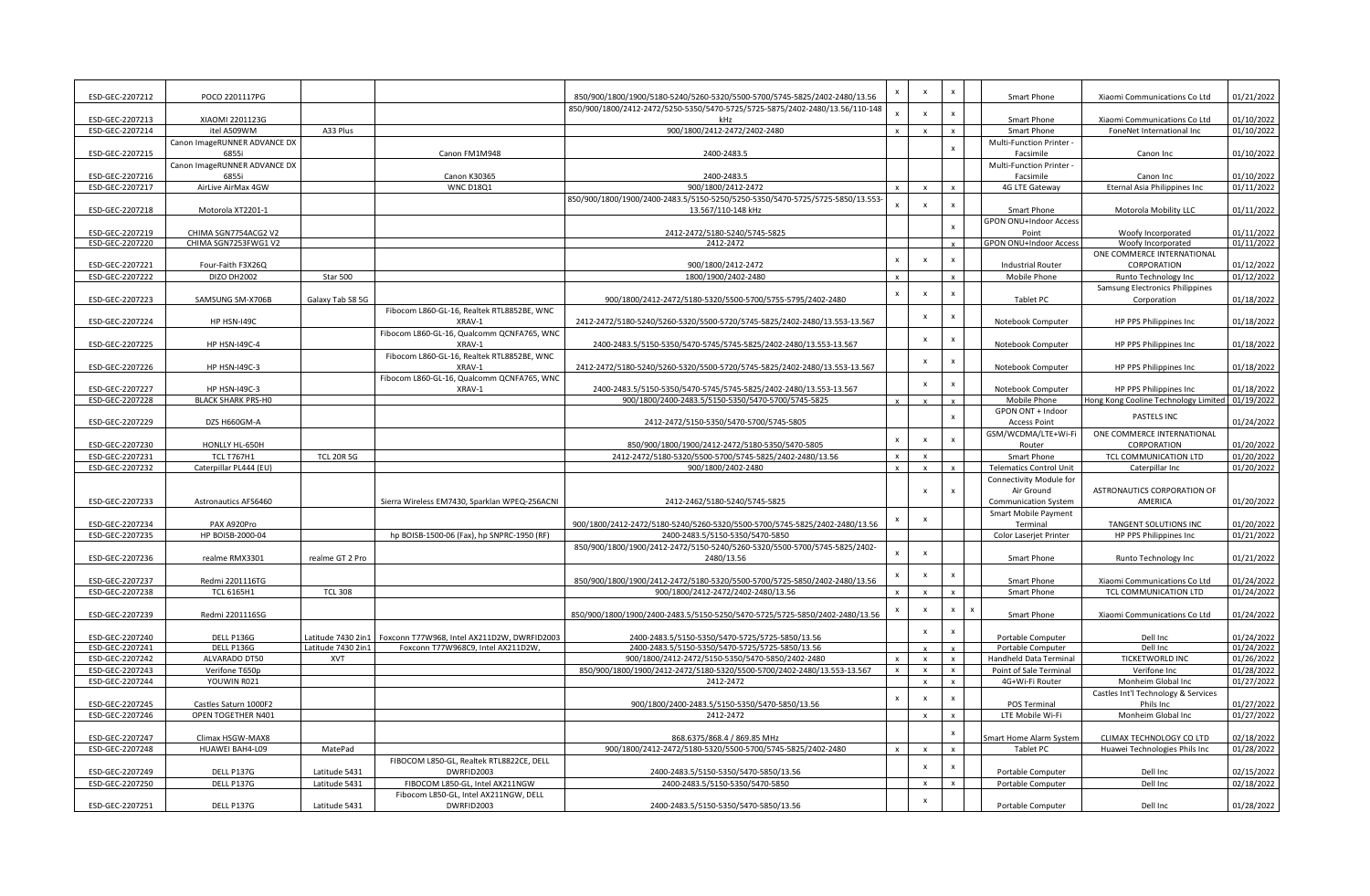| ESD-GEC-2207212                    | POCO 2201117PG               |                                  |                                                      | 850/900/1800/1900/5180-5240/5260-5320/5500-5700/5745-5825/2402-2480/13.56                           | $\mathsf{x}$              | $\boldsymbol{\mathsf{x}}$ | $\pmb{\times}$            | Smart Phone                                         | Xiaomi Communications Co Ltd                    | 01/21/2022               |
|------------------------------------|------------------------------|----------------------------------|------------------------------------------------------|-----------------------------------------------------------------------------------------------------|---------------------------|---------------------------|---------------------------|-----------------------------------------------------|-------------------------------------------------|--------------------------|
|                                    |                              |                                  |                                                      | 850/900/1800/2412-2472/5250-5350/5470-5725/5725-5875/2402-2480/13.56/110-148                        |                           |                           |                           |                                                     |                                                 |                          |
| ESD-GEC-2207213                    | XIAOMI 2201123G              |                                  |                                                      | kHz                                                                                                 |                           | $\boldsymbol{\mathsf{x}}$ | $\boldsymbol{\mathsf{x}}$ | Smart Phone                                         | Xiaomi Communications Co Ltd                    | 01/10/2022               |
| ESD-GEC-2207214                    | itel A509WM                  | A33 Plus                         |                                                      | 900/1800/2412-2472/2402-2480                                                                        | $\mathbf{x}$              | $\mathbf{x}$              | $\mathbf{x}$              | Smart Phone                                         | FoneNet International Inc                       | 01/10/2022               |
|                                    | Canon ImageRUNNER ADVANCE DX |                                  |                                                      |                                                                                                     |                           |                           | $\pmb{\times}$            | Multi-Function Printer -                            |                                                 |                          |
| ESD-GEC-2207215                    | 6855i                        |                                  | Canon FM1M948                                        | 2400-2483.5                                                                                         |                           |                           |                           | Facsimile                                           | Canon Inc                                       | 01/10/2022               |
|                                    | Canon ImageRUNNER ADVANCE DX |                                  |                                                      |                                                                                                     |                           |                           |                           | Multi-Function Printer -                            |                                                 | 01/10/2022               |
| ESD-GEC-2207216<br>ESD-GEC-2207217 | 6855i<br>AirLive AirMax 4GW  |                                  | Canon K30365<br><b>WNC D18Q1</b>                     | 2400-2483.5<br>900/1800/2412-2472                                                                   | $\mathsf{x}$              | $\mathbf{x}$              | $\mathbf{x}$              | Facsimile<br>4G LTE Gateway                         | Canon Inc<br>Eternal Asia Philippines Inc       | 01/11/2022               |
|                                    |                              |                                  |                                                      | 850/900/1800/1900/2400-2483.5/5150-5250/5250-5350/5470-5725/5725-5850/13.553                        |                           |                           |                           |                                                     |                                                 |                          |
| ESD-GEC-2207218                    | Motorola XT2201-1            |                                  |                                                      | 13.567/110-148 kHz                                                                                  |                           | $\boldsymbol{\mathsf{x}}$ | $\mathbf{x}$              | Smart Phone                                         | Motorola Mobility LLC                           | 01/11/2022               |
|                                    |                              |                                  |                                                      |                                                                                                     |                           |                           |                           | GPON ONU+Indoor Access                              |                                                 |                          |
| ESD-GEC-2207219                    | CHIMA SGN7754ACG2 V2         |                                  |                                                      | 2412-2472/5180-5240/5745-5825                                                                       |                           |                           | $\pmb{\times}$            | Point                                               | Woofy Incorporated                              | 01/11/2022               |
| ESD-GEC-2207220                    | CHIMA SGN7253FWG1V2          |                                  |                                                      | 2412-2472                                                                                           |                           |                           |                           | GPON ONU+Indoor Access                              | Woofy Incorporated                              | 01/11/2022               |
|                                    |                              |                                  |                                                      |                                                                                                     | $\mathsf{x}$              | $\mathbf{x}$              |                           |                                                     | ONE COMMERCE INTERNATIONAL                      |                          |
| ESD-GEC-2207221                    | Four-Faith F3X26Q            |                                  |                                                      | 900/1800/2412-2472                                                                                  |                           |                           |                           | <b>Industrial Router</b>                            | CORPORATION                                     | 01/12/2022               |
| ESD-GEC-2207222                    | <b>DIZO DH2002</b>           | Star 500                         |                                                      | 1800/1900/2402-2480                                                                                 | $\mathsf{x}$              |                           |                           | Mobile Phone                                        | Runto Technology Inc                            | 01/12/2022               |
|                                    |                              |                                  |                                                      |                                                                                                     | $\boldsymbol{\mathsf{x}}$ | $\boldsymbol{\mathsf{x}}$ |                           |                                                     | Samsung Electronics Philippines                 |                          |
| ESD-GEC-2207223                    | SAMSUNG SM-X706B             | Galaxy Tab S8 5G                 |                                                      | 900/1800/2412-2472/5180-5320/5500-5700/5755-5795/2402-2480                                          |                           |                           |                           | Tablet PC                                           | Corporation                                     | 01/18/2022               |
|                                    |                              |                                  | Fibocom L860-GL-16, Realtek RTL8852BE, WNC           |                                                                                                     |                           | $\boldsymbol{\mathsf{x}}$ | $\boldsymbol{\mathsf{x}}$ |                                                     |                                                 |                          |
| ESD-GEC-2207224                    | HP HSN-I49C                  |                                  | XRAV-1                                               | 2412-2472/5180-5240/5260-5320/5500-5720/5745-5825/2402-2480/13.553-13.567                           |                           |                           |                           | Notebook Computer                                   | HP PPS Philippines Inc                          | 01/18/2022               |
| ESD-GEC-2207225                    | <b>HP HSN-I49C-4</b>         |                                  | Fibocom L860-GL-16, Qualcomm QCNFA765, WNC<br>XRAV-1 | 2400-2483.5/5150-5350/5470-5745/5745-5825/2402-2480/13.553-13.567                                   |                           | $\pmb{\times}$            | $\boldsymbol{\mathsf{x}}$ | Notebook Computer                                   | HP PPS Philippines Inc                          | 01/18/2022               |
|                                    |                              |                                  | Fibocom L860-GL-16, Realtek RTL8852BE, WNC           |                                                                                                     |                           |                           |                           |                                                     |                                                 |                          |
| ESD-GEC-2207226                    | <b>HP HSN-I49C-3</b>         |                                  | XRAV-1                                               | 2412-2472/5180-5240/5260-5320/5500-5720/5745-5825/2402-2480/13.553-13.567                           |                           | $\boldsymbol{\mathsf{x}}$ | $\pmb{\times}$            | Notebook Computer                                   | HP PPS Philippines Inc                          | 01/18/2022               |
|                                    |                              |                                  | Fibocom L860-GL-16, Qualcomm QCNFA765, WNC           |                                                                                                     |                           |                           |                           |                                                     |                                                 |                          |
| ESD-GEC-2207227                    | <b>HP HSN-I49C-3</b>         |                                  | XRAV-1                                               | 2400-2483.5/5150-5350/5470-5745/5745-5825/2402-2480/13.553-13.567                                   |                           | $\mathsf{x}$              | $\boldsymbol{\mathsf{x}}$ | Notebook Computer                                   | HP PPS Philippines Inc                          | 01/18/2022               |
| ESD-GEC-2207228                    | <b>BLACK SHARK PRS-HO</b>    |                                  |                                                      | 900/1800/2400-2483.5/5150-5350/5470-5700/5745-5825                                                  |                           |                           |                           | Mobile Phone                                        | Hong Kong Cooline Technology Limited 01/19/2022 |                          |
|                                    |                              |                                  |                                                      |                                                                                                     |                           |                           |                           | GPON ONT + Indoor                                   |                                                 |                          |
| ESD-GEC-2207229                    | DZS H660GM-A                 |                                  |                                                      | 2412-2472/5150-5350/5470-5700/5745-5805                                                             |                           |                           |                           | <b>Access Point</b>                                 | PASTELS INC                                     | 01/24/2022               |
|                                    |                              |                                  |                                                      |                                                                                                     | $\mathsf{x}$              | $\mathbf{x}$              | $\boldsymbol{\mathsf{x}}$ | GSM/WCDMA/LTE+Wi-Fi                                 | ONE COMMERCE INTERNATIONAL                      |                          |
| ESD-GEC-2207230                    | HONLLY HL-650H               |                                  |                                                      | 850/900/1800/1900/2412-2472/5180-5350/5470-5805                                                     |                           |                           |                           | Router                                              | CORPORATION                                     | 01/20/2022               |
| ESD-GEC-2207231                    | <b>TCL T767H1</b>            | <b>TCL 20R 5G</b>                |                                                      | 2412-2472/5180-5320/5500-5700/5745-5825/2402-2480/13.56                                             |                           | $\mathbf{x}$              |                           | Smart Phone                                         | TCL COMMUNICATION LTD                           | 01/20/2022               |
| ESD-GEC-2207232                    | Caterpillar PL444 (EU)       |                                  |                                                      | 900/1800/2402-2480                                                                                  | $\mathsf{x}$              | $\pmb{\times}$            | $\mathsf{x}$              | <b>Telematics Control Unit</b>                      | Caterpillar Inc                                 | 01/20/2022               |
|                                    |                              |                                  |                                                      |                                                                                                     |                           |                           |                           | Connectivity Module for                             |                                                 |                          |
|                                    |                              |                                  |                                                      | 2412-2462/5180-5240/5745-5825                                                                       |                           |                           | $\boldsymbol{\mathsf{x}}$ | Air Ground                                          | ASTRONAUTICS CORPORATION OF<br>AMERICA          | 01/20/2022               |
| ESD-GEC-2207233                    | <b>Astronautics AFS6460</b>  |                                  | Sierra Wireless EM7430, Sparklan WPEQ-256ACNI        |                                                                                                     |                           |                           |                           | <b>Communication System</b><br>Smart Mobile Payment |                                                 |                          |
| ESD-GEC-2207234                    | PAX A920Pro                  |                                  |                                                      | 900/1800/2412-2472/5180-5240/5260-5320/5500-5700/5745-5825/2402-2480/13.56                          | $\boldsymbol{\mathsf{x}}$ | $\boldsymbol{\mathsf{x}}$ |                           | Terminal                                            | TANGENT SOLUTIONS INC                           | 01/20/2022               |
| ESD-GEC-2207235                    | HP BOISB-2000-04             |                                  | hp BOISB-1500-06 (Fax), hp SNPRC-1950 (RF)           | 2400-2483.5/5150-5350/5470-5850                                                                     |                           |                           |                           | Color Laserjet Printer                              | HP PPS Philippines Inc                          | 01/21/2022               |
|                                    |                              |                                  |                                                      | 850/900/1800/1900/2412-2472/5150-5240/5260-5320/5500-5700/5745-5825/2402-                           |                           |                           |                           |                                                     |                                                 |                          |
| ESD-GEC-2207236                    | realme RMX3301               | realme GT 2 Pro                  |                                                      | 2480/13.56                                                                                          | $\mathbf{x}$              | $\boldsymbol{\mathsf{x}}$ |                           | Smart Phone                                         | Runto Technology Inc                            | 01/21/2022               |
|                                    |                              |                                  |                                                      |                                                                                                     |                           |                           |                           |                                                     |                                                 |                          |
| ESD-GEC-2207237                    | Redmi 2201116TG              |                                  |                                                      | 850/900/1800/1900/2412-2472/5180-5320/5500-5700/5725-5850/2402-2480/13.56                           | $\boldsymbol{\mathsf{x}}$ | $\mathbf{x}$              | $\boldsymbol{\mathsf{x}}$ | Smart Phone                                         | Xiaomi Communications Co Ltd                    | 01/24/2022               |
| ESD-GEC-2207238                    | <b>TCL 6165H1</b>            | <b>TCL 308</b>                   |                                                      | 900/1800/2412-2472/2402-2480/13.56                                                                  | $\mathsf{x}$              | $\mathbf{x}$              |                           | Smart Phone                                         | TCL COMMUNICATION LTD                           | 01/24/2022               |
|                                    |                              |                                  |                                                      |                                                                                                     | x                         | $\pmb{\times}$            | $\pmb{\times}$            |                                                     |                                                 |                          |
| ESD-GEC-2207239                    | Redmi 2201116SG              |                                  |                                                      | 850/900/1800/1900/2400-2483.5/5150-5250/5470-5725/5725-5850/2402-2480/13.56                         |                           |                           |                           | Smart Phone                                         | Xiaomi Communications Co Ltd                    | 01/24/2022               |
|                                    |                              |                                  |                                                      |                                                                                                     |                           | $\boldsymbol{\mathsf{x}}$ |                           |                                                     |                                                 |                          |
| ESD-GEC-2207240                    | DELL P136G                   | Latitude 7430 2in1               | Foxconn T77W968, Intel AX211D2W, DWRFID2003          | 2400-2483.5/5150-5350/5470-5725/5725-5850/13.56                                                     |                           |                           |                           | Portable Computer                                   | Dell Inc                                        | 01/24/2022<br>01/24/2022 |
| ESD-GEC-2207241<br>ESD-GEC-2207242 | DELL P136G<br>ALVARADO DT50  | Latitude 7430 2in1<br><b>XVT</b> | Foxconn T77W968C9, Intel AX211D2W,                   | 2400-2483.5/5150-5350/5470-5725/5725-5850/13.56<br>900/1800/2412-2472/5150-5350/5470-5850/2402-2480 | $\mathbf{x}$              | $\pmb{\times}$            | $\pmb{\times}$            | Portable Computer<br>Handheld Data Terminal         | Dell Inc<br>TICKETWORLD INC                     | 01/26/2022               |
| ESD-GEC-2207243                    | Verifone T650p               |                                  |                                                      | 850/900/1800/1900/2412-2472/5180-5320/5500-5700/2402-2480/13.553-13.567                             | $\mathsf{x}$              | $\mathbf{x}$              | $\mathsf{x}$              | Point of Sale Terminal                              | Verifone Inc                                    | 01/28/2022               |
| ESD-GEC-2207244                    | YOUWIN R021                  |                                  |                                                      | 2412-2472                                                                                           |                           | $\mathbf{x}$              |                           | 4G+Wi-Fi Router                                     | Monheim Global Inc                              | 01/27/2022               |
|                                    |                              |                                  |                                                      |                                                                                                     |                           |                           |                           |                                                     | Castles Int'l Technology & Services             |                          |
| ESD-GEC-2207245                    | Castles Saturn 1000F2        |                                  |                                                      | 900/1800/2400-2483.5/5150-5350/5470-5850/13.56                                                      | $\boldsymbol{\mathsf{x}}$ | $\boldsymbol{\mathsf{x}}$ | $\boldsymbol{\mathsf{x}}$ | POS Terminal                                        | Phils Inc                                       | 01/27/2022               |
| ESD-GEC-2207246                    | OPEN TOGETHER N401           |                                  |                                                      | 2412-2472                                                                                           |                           | $\mathsf{x}$              | $\mathbf{x}$              | LTE Mobile Wi-Fi                                    | Monheim Global Inc                              | 01/27/2022               |
|                                    |                              |                                  |                                                      |                                                                                                     |                           |                           | $\mathsf{x}$              |                                                     |                                                 |                          |
| ESD-GEC-2207247                    | Climax HSGW-MAX8             |                                  |                                                      | 868.6375/868.4 / 869.85 MHz                                                                         |                           |                           |                           | mart Home Alarm System                              | CLIMAX TECHNOLOGY CO LTD                        | 02/18/2022               |
| ESD-GEC-2207248                    | HUAWEI BAH4-L09              | MatePad                          |                                                      | 900/1800/2412-2472/5180-5320/5500-5700/5745-5825/2402-2480                                          | $\mathbf{x}$              | $\mathbf{x}$              | $\mathbf{x}$              | Tablet PC                                           | Huawei Technologies Phils Inc                   | 01/28/2022               |
|                                    |                              |                                  | FIBOCOM L850-GL, Realtek RTL8822CE, DELL             |                                                                                                     |                           | $\boldsymbol{\mathsf{x}}$ | X                         |                                                     |                                                 |                          |
| ESD-GEC-2207249                    | DELL P137G                   | Latitude 5431                    | DWRFID2003                                           | 2400-2483.5/5150-5350/5470-5850/13.56                                                               |                           |                           |                           | Portable Computer                                   | Dell Inc                                        | 02/15/2022               |
| ESD-GEC-2207250                    | DELL P137G                   | Latitude 5431                    | FIBOCOM L850-GL, Intel AX211NGW                      | 2400-2483.5/5150-5350/5470-5850                                                                     |                           | $\mathbf{x}$              |                           | Portable Computer                                   | Dell Inc                                        | 02/18/2022               |
|                                    |                              |                                  | Fibocom L850-GL, Intel AX211NGW, DELL                |                                                                                                     |                           | $\boldsymbol{\mathsf{x}}$ |                           |                                                     | Dell Inc                                        |                          |
| ESD-GEC-2207251                    | DELL P137G                   | Latitude 5431                    | DWRFID2003                                           | 2400-2483.5/5150-5350/5470-5850/13.56                                                               |                           |                           |                           | Portable Computer                                   |                                                 | 01/28/2022               |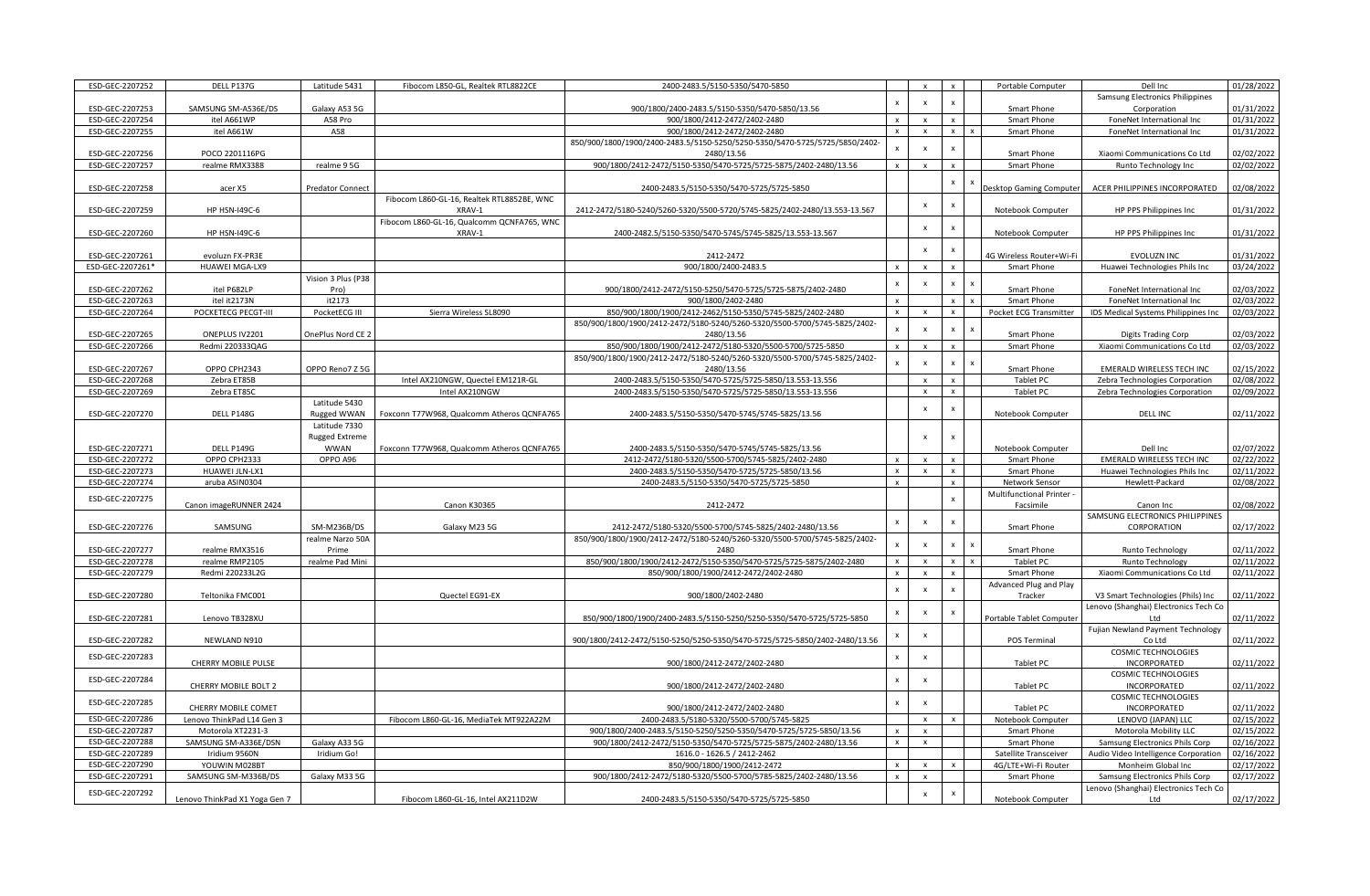| ESD-GEC-2207252  | DELL P137G                    | Latitude 5431           | Fibocom L850-GL, Realtek RTL8822CE         | 2400-2483.5/5150-5350/5470-5850                                             |                           |                           |                           | Portable Computer        | Dell Inc                                     | 01/28/2022 |
|------------------|-------------------------------|-------------------------|--------------------------------------------|-----------------------------------------------------------------------------|---------------------------|---------------------------|---------------------------|--------------------------|----------------------------------------------|------------|
|                  |                               |                         |                                            |                                                                             | $\boldsymbol{\mathsf{x}}$ | $\mathbf{x}$              |                           |                          | Samsung Electronics Philippines              |            |
| ESD-GEC-2207253  | SAMSUNG SM-A536E/DS           | Galaxy A53 5G           |                                            | 900/1800/2400-2483.5/5150-5350/5470-5850/13.56                              |                           |                           |                           | Smart Phone              | Corporation                                  | 01/31/2022 |
| ESD-GEC-2207254  | itel A661WP                   | A58 Pro                 |                                            | 900/1800/2412-2472/2402-2480                                                | $\mathbf{x}$              |                           |                           | Smart Phone              | FoneNet International Inc                    | 01/31/2022 |
| ESD-GEC-2207255  | itel A661W                    | A58                     |                                            | 900/1800/2412-2472/2402-2480                                                | $\mathsf{x}$              | $\mathbf{x}$              | $\mathbf{x}$              | Smart Phone              | FoneNet International Inc                    | 01/31/2022 |
|                  |                               |                         |                                            | 850/900/1800/1900/2400-2483.5/5150-5250/5250-5350/5470-5725/5725/5850/2402- | $\mathbf{x}$              | $\boldsymbol{\mathsf{x}}$ | $\mathsf{x}$              |                          |                                              |            |
| ESD-GEC-2207256  | POCO 2201116PG                |                         |                                            | 2480/13.56                                                                  |                           |                           |                           | Smart Phone              | Xiaomi Communications Co Ltd                 | 02/02/2022 |
| ESD-GEC-2207257  | realme RMX3388                | realme 9 5G             |                                            | 900/1800/2412-2472/5150-5350/5470-5725/5725-5875/2402-2480/13.56            | $\mathbf{x}$              | $\mathbf{x}$              | $\mathbf{x}$              | Smart Phone              | Runto Technology Inc                         | 02/02/2022 |
|                  |                               |                         |                                            |                                                                             |                           |                           |                           |                          |                                              |            |
| ESD-GEC-2207258  | acer X5                       | <b>Predator Connect</b> |                                            | 2400-2483.5/5150-5350/5470-5725/5725-5850                                   |                           |                           | $\pmb{\mathsf{x}}$        | esktop Gaming Computer   | ACER PHILIPPINES INCORPORATED                | 02/08/2022 |
|                  |                               |                         | Fibocom L860-GL-16, Realtek RTL8852BE, WNC |                                                                             |                           | $\boldsymbol{\mathsf{x}}$ | $\mathsf{x}$              |                          |                                              |            |
| ESD-GEC-2207259  | <b>HP HSN-I49C-6</b>          |                         | XRAV-1                                     | 2412-2472/5180-5240/5260-5320/5500-5720/5745-5825/2402-2480/13.553-13.567   |                           |                           |                           | Notebook Computer        | HP PPS Philippines Inc                       | 01/31/2022 |
|                  |                               |                         | Fibocom L860-GL-16, Qualcomm QCNFA765, WNC |                                                                             |                           | $\boldsymbol{\mathsf{x}}$ | $\boldsymbol{\mathsf{x}}$ |                          |                                              |            |
| ESD-GEC-2207260  | <b>HP HSN-I49C-6</b>          |                         | XRAV-1                                     | 2400-2482.5/5150-5350/5470-5745/5745-5825/13.553-13.567                     |                           |                           |                           | Notebook Computer        | HP PPS Philippines Inc                       | 01/31/2022 |
|                  |                               |                         |                                            |                                                                             |                           | $\mathbf{x}$              | $\mathsf{x}$              |                          |                                              |            |
| ESD-GEC-2207261  | evoluzn FX-PR3E               |                         |                                            | 2412-2472                                                                   |                           |                           |                           | 4G Wireless Router+Wi-Fi | EVOLUZN INC                                  | 01/31/2022 |
| ESD-GEC-2207261* | HUAWEI MGA-LX9                |                         |                                            | 900/1800/2400-2483.5                                                        | $\mathsf{x}$              | $\mathbf{x}$              | $\mathbf{x}$              | Smart Phone              | Huawei Technologies Phils Inc                | 03/24/2022 |
|                  |                               | Vision 3 Plus (P38      |                                            |                                                                             | $\boldsymbol{\mathsf{x}}$ | $\boldsymbol{\mathsf{x}}$ | $\mathsf{x}$              |                          |                                              |            |
| ESD-GEC-2207262  | itel P682LP                   | Pro)                    |                                            | 900/1800/2412-2472/5150-5250/5470-5725/5725-5875/2402-2480                  |                           |                           |                           | Smart Phone              | FoneNet International Inc                    | 02/03/2022 |
| ESD-GEC-2207263  | itel it2173N                  | it2173                  |                                            | 900/1800/2402-2480                                                          | $\mathsf{x}$              |                           | $\mathbf{x}$              | Smart Phone              | FoneNet International Inc                    | 02/03/2022 |
| ESD-GEC-2207264  | POCKETECG PECGT-III           | PocketECG III           | Sierra Wireless SL8090                     | 850/900/1800/1900/2412-2462/5150-5350/5745-5825/2402-2480                   | $\times$                  | $\mathbf{x}$              | $\mathbf{x}$              | Pocket ECG Transmitter   | IDS Medical Systems Philippines Inc.         | 02/03/2022 |
|                  |                               |                         |                                            | 850/900/1800/1900/2412-2472/5180-5240/5260-5320/5500-5700/5745-5825/2402-   |                           |                           | $\mathbf{x}$              |                          |                                              |            |
| ESD-GEC-2207265  | ONEPLUS IV2201                | OnePlus Nord CE 2       |                                            | 2480/13.56                                                                  |                           |                           |                           | Smart Phone              | <b>Digits Trading Corp</b>                   | 02/03/2022 |
| ESD-GEC-2207266  | Redmi 220333QAG               |                         |                                            | 850/900/1800/1900/2412-2472/5180-5320/5500-5700/5725-5850                   |                           |                           |                           | Smart Phone              | Xiaomi Communications Co Ltd                 | 02/03/2022 |
|                  |                               |                         |                                            | 850/900/1800/1900/2412-2472/5180-5240/5260-5320/5500-5700/5745-5825/2402-   | $\mathbf{x}$              |                           | $\boldsymbol{\mathsf{x}}$ |                          |                                              |            |
| ESD-GEC-2207267  | OPPO CPH2343                  | OPPO Reno7 Z 5G         |                                            | 2480/13.56                                                                  |                           |                           |                           | <b>Smart Phone</b>       | <b>EMERALD WIRELESS TECH INC</b>             | 02/15/2022 |
| ESD-GEC-2207268  | Zebra ET85B                   |                         | Intel AX210NGW, Quectel EM121R-GL          | 2400-2483.5/5150-5350/5470-5725/5725-5850/13.553-13.556                     |                           |                           |                           | <b>Tablet PC</b>         | Zebra Technologies Corporation               | 02/08/2022 |
| ESD-GEC-2207269  | Zebra ET85C                   |                         | Intel AX210NGW                             | 2400-2483.5/5150-5350/5470-5725/5725-5850/13.553-13.556                     |                           | $\pmb{\times}$            | $\boldsymbol{\mathsf{x}}$ | Tablet PC                | Zebra Technologies Corporation               | 02/09/2022 |
|                  |                               | Latitude 5430           |                                            |                                                                             |                           | $\pmb{\times}$            | $\boldsymbol{\mathsf{x}}$ |                          |                                              |            |
| ESD-GEC-2207270  | DELL P148G                    | Rugged WWAN             | Foxconn T77W968, Qualcomm Atheros QCNFA765 | 2400-2483.5/5150-5350/5470-5745/5745-5825/13.56                             |                           |                           |                           | Notebook Computer        | <b>DELL INC</b>                              | 02/11/2022 |
|                  |                               | Latitude 7330           |                                            |                                                                             |                           |                           |                           |                          |                                              |            |
|                  |                               | <b>Rugged Extreme</b>   |                                            |                                                                             |                           | $\mathbf{x}$              | $\boldsymbol{\mathsf{x}}$ |                          |                                              |            |
|                  | DELL P149G                    | <b>WWAN</b>             | Foxconn T77W968, Qualcomm Atheros QCNFA765 | 2400-2483.5/5150-5350/5470-5745/5745-5825/13.56                             |                           |                           |                           | Notebook Computer        | Dell Inc                                     | 02/07/2022 |
| ESD-GEC-2207271  |                               |                         |                                            |                                                                             |                           |                           |                           |                          |                                              |            |
| ESD-GEC-2207272  | OPPO CPH2333                  | OPPO A96                |                                            | 2412-2472/5180-5320/5500-5700/5745-5825/2402-2480                           | $\mathsf{x}$              | $\mathbf{x}$              | $\mathsf{x}$              | Smart Phone              | <b>EMERALD WIRELESS TECH INC</b>             | 02/22/2022 |
| ESD-GEC-2207273  | HUAWEI JLN-LX1                |                         |                                            | 2400-2483.5/5150-5350/5470-5725/5725-5850/13.56                             | $\mathsf{x}$              | $\mathsf{x}$              | $\mathbf{x}$              | Smart Phone              | Huawei Technologies Phils Inc                | 02/11/2022 |
| ESD-GEC-2207274  | aruba ASIN0304                |                         |                                            | 2400-2483.5/5150-5350/5470-5725/5725-5850                                   |                           |                           |                           | Network Sensor           | Hewlett-Packard                              | 02/08/2022 |
|                  |                               |                         |                                            |                                                                             |                           |                           |                           | Multifunctional Printer  |                                              |            |
| ESD-GEC-2207275  | Canon imageRUNNER 2424        |                         | Canon K30365                               | 2412-2472                                                                   |                           |                           | $\mathbf{x}$              | Facsimile                | Canon Inc                                    | 02/08/2022 |
|                  |                               |                         |                                            |                                                                             |                           |                           |                           |                          | SAMSUNG ELECTRONICS PHILIPPINES              |            |
| ESD-GEC-2207276  | SAMSUNG                       | SM-M236B/DS             | Galaxy M23 5G                              | 2412-2472/5180-5320/5500-5700/5745-5825/2402-2480/13.56                     | $\pmb{\times}$            |                           |                           | Smart Phone              | CORPORATION                                  | 02/17/2022 |
|                  |                               | realme Narzo 50A        |                                            | 850/900/1800/1900/2412-2472/5180-5240/5260-5320/5500-5700/5745-5825/2402-   |                           |                           |                           |                          |                                              |            |
| ESD-GEC-2207277  | realme RMX3516                | Prime                   |                                            | 2480                                                                        | $\mathbf{x}$              | $\mathbf{x}$              | $\mathbf{x}$              | Smart Phone              | Runto Technology                             | 02/11/2022 |
| ESD-GEC-2207278  | realme RMP2105                | realme Pad Mini         |                                            | 850/900/1800/1900/2412-2472/5150-5350/5470-5725/5725-5875/2402-2480         | $\mathsf{x}$              | $\mathbf{x}$              | $\pmb{\mathsf{x}}$        | Tablet PC                | Runto Technology                             | 02/11/2022 |
| ESD-GEC-2207279  | Redmi 220233L2G               |                         |                                            | 850/900/1800/1900/2412-2472/2402-2480                                       | $\mathsf{x}$              | $\mathbf{x}$              | $\mathbf{x}$              | Smart Phone              | Xiaomi Communications Co Ltd                 | 02/11/2022 |
|                  |                               |                         |                                            |                                                                             |                           |                           |                           | Advanced Plug and Play   |                                              |            |
| ESD-GEC-2207280  | Teltonika FMC001              |                         | Quectel EG91-EX                            | 900/1800/2402-2480                                                          | $\pmb{\times}$            | $\mathbf{x}$              | $\mathbf{x}$              | Tracker                  | V3 Smart Technologies (Phils) Inc            | 02/11/2022 |
|                  |                               |                         |                                            |                                                                             |                           |                           | $\boldsymbol{\mathsf{x}}$ |                          | Lenovo (Shanghai) Electronics Tech Co        |            |
| ESD-GEC-2207281  | Lenovo TB328XU                |                         |                                            | 850/900/1800/1900/2400-2483.5/5150-5250/5250-5350/5470-5725/5725-5850       | $\boldsymbol{\mathsf{x}}$ | $\mathbf{x}$              |                           | Portable Tablet Computer |                                              | 02/11/2022 |
|                  |                               |                         |                                            |                                                                             |                           | $\boldsymbol{\mathsf{x}}$ |                           |                          | Fujian Newland Payment Technology            |            |
| ESD-GEC-2207282  | NEWLAND N910                  |                         |                                            | 900/1800/2412-2472/5150-5250/5250-5350/5470-5725/5725-5850/2402-2480/13.56  | $\pmb{\times}$            |                           |                           | <b>POS Terminal</b>      | Co Ltd                                       | 02/11/2022 |
|                  |                               |                         |                                            |                                                                             | $\mathsf{x}$              | $\boldsymbol{\mathsf{x}}$ |                           |                          | COSMIC TECHNOLOGIES                          |            |
| ESD-GEC-2207283  | CHERRY MOBILE PULSE           |                         |                                            | 900/1800/2412-2472/2402-2480                                                |                           |                           |                           | <b>Tablet PC</b>         | INCORPORATED                                 | 02/11/2022 |
| ESD-GEC-2207284  |                               |                         |                                            |                                                                             | $\mathbf{x}$              |                           |                           |                          | COSMIC TECHNOLOGIES                          |            |
|                  | CHERRY MOBILE BOLT 2          |                         |                                            | 900/1800/2412-2472/2402-2480                                                |                           | $\pmb{\times}$            |                           | Tablet PC                | INCORPORATED                                 | 02/11/2022 |
| ESD-GEC-2207285  |                               |                         |                                            |                                                                             | $\boldsymbol{\mathsf{x}}$ | $\mathbf{x}$              |                           |                          | COSMIC TECHNOLOGIES                          |            |
|                  | CHERRY MOBILE COMET           |                         |                                            | 900/1800/2412-2472/2402-2480                                                |                           |                           |                           | Tablet PC                | INCORPORATED                                 | 02/11/2022 |
| ESD-GEC-2207286  | Lenovo ThinkPad L14 Gen 3     |                         | Fibocom L860-GL-16, MediaTek MT922A22M     | 2400-2483.5/5180-5320/5500-5700/5745-5825                                   |                           | $\mathsf{x}$              |                           | Notebook Computer        | LENOVO (JAPAN) LLC                           | 02/15/2022 |
| ESD-GEC-2207287  | Motorola XT2231-3             |                         |                                            | 900/1800/2400-2483.5/5150-5250/5250-5350/5470-5725/5725-5850/13.56          |                           | $\mathbf{x}$              |                           | Smart Phone              | Motorola Mobility LLC                        | 02/15/2022 |
| ESD-GEC-2207288  | SAMSUNG SM-A336E/DSN          | Galaxy A33 5G           |                                            | 900/1800/2412-2472/5150-5350/5470-5725/5725-5875/2402-2480/13.56            | $\mathsf{x}$              | $\mathbf{x}$              |                           | Smart Phone              | Samsung Electronics Phils Corp               | 02/16/2022 |
| ESD-GEC-2207289  | Iridium 9560N                 | Iridium Go!             |                                            | 1616.0 - 1626.5 / 2412-2462                                                 |                           |                           |                           | Satellite Transceiver    | Audio Video Intelligence Corporation         | 02/16/2022 |
| ESD-GEC-2207290  | YOUWIN M028BT                 |                         |                                            | 850/900/1800/1900/2412-2472                                                 | $\mathbf{x}$              | $\pmb{\times}$            |                           | 4G/LTE+Wi-Fi Router      | Monheim Global Inc                           | 02/17/2022 |
| ESD-GEC-2207291  | SAMSUNG SM-M336B/DS           | Galaxy M33 5G           |                                            | 900/1800/2412-2472/5180-5320/5500-5700/5785-5825/2402-2480/13.56            | $\mathsf{x}$              | $\mathsf{x}$              |                           | Smart Phone              | Samsung Electronics Phils Corp               | 02/17/2022 |
| ESD-GEC-2207292  | Lenovo ThinkPad X1 Yoga Gen 7 |                         | Fibocom L860-GL-16, Intel AX211D2W         | 2400-2483.5/5150-5350/5470-5725/5725-5850                                   |                           | $\pmb{\times}$            |                           | Notebook Computer        | Lenovo (Shanghai) Electronics Tech Co<br>Ltd | 02/17/2022 |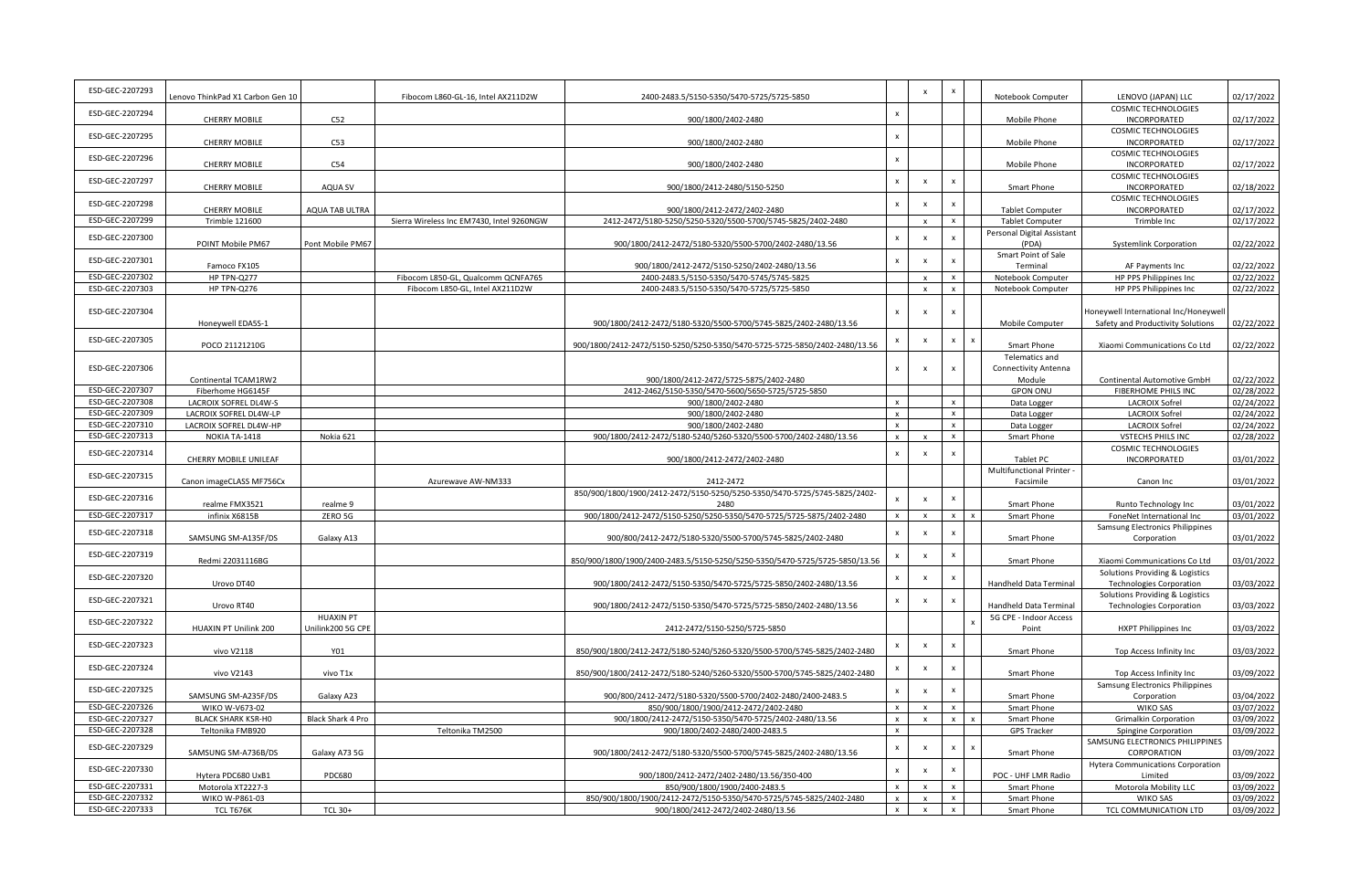| ESD-GEC-2207293 | Lenovo ThinkPad X1 Carbon Gen 10                |                   | Fibocom L860-GL-16, Intel AX211D2W        | 2400-2483.5/5150-5350/5470-5725/5725-5850                                                            |                           | $\boldsymbol{\mathsf{x}}$ | $\boldsymbol{\mathsf{x}}$ | Notebook Computer                      | LENOVO (JAPAN) LLC                                                         | 02/17/2022               |
|-----------------|-------------------------------------------------|-------------------|-------------------------------------------|------------------------------------------------------------------------------------------------------|---------------------------|---------------------------|---------------------------|----------------------------------------|----------------------------------------------------------------------------|--------------------------|
| ESD-GEC-2207294 | <b>CHERRY MOBILE</b>                            | C52               |                                           | 900/1800/2402-2480                                                                                   | $\boldsymbol{\mathsf{x}}$ |                           |                           | <b>Mobile Phone</b>                    | <b>COSMIC TECHNOLOGIES</b><br>INCORPORATED                                 | 02/17/2022               |
| ESD-GEC-2207295 |                                                 |                   |                                           |                                                                                                      | $\pmb{\mathsf{x}}$        |                           |                           |                                        | <b>COSMIC TECHNOLOGIES</b>                                                 |                          |
|                 | <b>CHERRY MOBILE</b>                            | C53               |                                           | 900/1800/2402-2480                                                                                   |                           |                           |                           | Mobile Phone                           | INCORPORATED                                                               | 02/17/2022               |
| ESD-GEC-2207296 | <b>CHERRY MOBILE</b>                            | C54               |                                           | 900/1800/2402-2480                                                                                   | $\boldsymbol{\mathsf{x}}$ |                           |                           | Mobile Phone                           | COSMIC TECHNOLOGIES<br>INCORPORATED                                        | 02/17/2022               |
| ESD-GEC-2207297 |                                                 |                   |                                           |                                                                                                      | $\pmb{\mathsf{x}}$        | $\pmb{\times}$            | $\boldsymbol{\mathsf{x}}$ |                                        | COSMIC TECHNOLOGIES                                                        |                          |
|                 | <b>CHERRY MOBILE</b>                            | AQUA SV           |                                           | 900/1800/2412-2480/5150-5250                                                                         |                           |                           |                           | Smart Phone                            | INCORPORATED<br><b>COSMIC TECHNOLOGIES</b>                                 | 02/18/2022               |
| ESD-GEC-2207298 | <b>CHERRY MOBILE</b>                            | AQUA TAB ULTRA    |                                           | 900/1800/2412-2472/2402-2480                                                                         | $\mathsf{x}$              | $\boldsymbol{\mathsf{x}}$ | $\boldsymbol{\mathsf{x}}$ | <b>Tablet Computer</b>                 | INCORPORATED                                                               | 02/17/2022               |
| ESD-GEC-2207299 | <b>Trimble 121600</b>                           |                   | Sierra Wireless Inc EM7430, Intel 9260NGW | 2412-2472/5180-5250/5250-5320/5500-5700/5745-5825/2402-2480                                          |                           | $\mathbf{x}$              | $\boldsymbol{\mathsf{x}}$ | <b>Tablet Computer</b>                 | Trimble Inc                                                                | 02/17/2022               |
| ESD-GEC-2207300 | POINT Mobile PM67                               |                   |                                           | 900/1800/2412-2472/5180-5320/5500-5700/2402-2480/13.56                                               | $\pmb{\times}$            | $\boldsymbol{\mathsf{x}}$ | $\boldsymbol{\mathsf{x}}$ | Personal Digital Assistant             |                                                                            | 02/22/2022               |
|                 |                                                 | Pont Mobile PM67  |                                           |                                                                                                      |                           |                           |                           | (PDA)<br>Smart Point of Sale           | <b>Systemlink Corporation</b>                                              |                          |
| ESD-GEC-2207301 | Famoco FX105                                    |                   |                                           | 900/1800/2412-2472/5150-5250/2402-2480/13.56                                                         | $\pmb{\mathsf{x}}$        | $\pmb{\times}$            | $\boldsymbol{\mathsf{x}}$ | Terminal                               | AF Payments Inc                                                            | 02/22/2022               |
| ESD-GEC-2207302 | HP TPN-Q277                                     |                   | Fibocom L850-GL, Qualcomm QCNFA765        | 2400-2483.5/5150-5350/5470-5745/5745-5825                                                            |                           | $\mathbf{x}$              | $\mathbf{x}$              | Notebook Computer                      | HP PPS Philippines Inc                                                     | 02/22/2022               |
| ESD-GEC-2207303 | HP TPN-Q276                                     |                   | Fibocom L850-GL, Intel AX211D2W           | 2400-2483.5/5150-5350/5470-5725/5725-5850                                                            |                           |                           | $\mathbf{x}$              | Notebook Computer                      | HP PPS Philippines Inc                                                     | 02/22/2022               |
| ESD-GEC-2207304 | Honeywell EDA5S-1                               |                   |                                           | 900/1800/2412-2472/5180-5320/5500-5700/5745-5825/2402-2480/13.56                                     |                           |                           | $\boldsymbol{\mathsf{x}}$ | Mobile Computer                        | Honeywell International Inc/Honeywell<br>Safety and Productivity Solutions | 02/22/2022               |
| ESD-GEC-2207305 | POCO 21121210G                                  |                   |                                           | 900/1800/2412-2472/5150-5250/5250-5350/5470-5725-5725-5850/2402-2480/13.56                           | $\pmb{\times}$            | $\boldsymbol{\mathsf{x}}$ | $\boldsymbol{\mathsf{x}}$ | Smart Phone                            | Xiaomi Communications Co Ltd                                               | 02/22/2022               |
|                 |                                                 |                   |                                           |                                                                                                      |                           |                           |                           | <b>Telematics and</b>                  |                                                                            |                          |
| ESD-GEC-2207306 |                                                 |                   |                                           |                                                                                                      | $\boldsymbol{\mathsf{x}}$ | $\mathbf{x}$              | $\boldsymbol{\mathsf{x}}$ | <b>Connectivity Antenna</b>            |                                                                            |                          |
| ESD-GEC-2207307 | Continental TCAM1RW2<br>Fiberhome HG6145F       |                   |                                           | 900/1800/2412-2472/5725-5875/2402-2480<br>2412-2462/5150-5350/5470-5600/5650-5725/5725-5850          |                           |                           |                           | Module                                 | Continental Automotive GmbH<br><b>FIBERHOME PHILS INC</b>                  | 02/22/2022<br>02/28/2022 |
| ESD-GEC-2207308 |                                                 |                   |                                           |                                                                                                      | $\mathsf{x}$              |                           | $\boldsymbol{\mathsf{x}}$ | <b>GPON ONU</b>                        | <b>LACROIX Sofrel</b>                                                      |                          |
| ESD-GEC-2207309 | LACROIX SOFREL DL4W-S<br>LACROIX SOFREL DL4W-LP |                   |                                           | 900/1800/2402-2480<br>900/1800/2402-2480                                                             | $\boldsymbol{\mathsf{x}}$ |                           | $\boldsymbol{\mathsf{x}}$ | Data Logger                            | <b>LACROIX Sofrel</b>                                                      | 02/24/2022<br>02/24/2022 |
| ESD-GEC-2207310 | LACROIX SOFREL DL4W-HP                          |                   |                                           | 900/1800/2402-2480                                                                                   | $\mathbf{x}$              |                           | $\mathsf{x}$              | Data Logger                            | <b>LACROIX Sofrel</b>                                                      | 02/24/2022               |
| ESD-GEC-2207313 | NOKIA TA-1418                                   | Nokia 621         |                                           | 900/1800/2412-2472/5180-5240/5260-5320/5500-5700/2402-2480/13.56                                     | $\mathsf{x}$              |                           | $\mathbf{x}$              | Data Logger<br>Smart Phone             | <b>VSTECHS PHILS INC</b>                                                   | 02/28/2022               |
|                 |                                                 |                   |                                           |                                                                                                      |                           |                           |                           |                                        | <b>COSMIC TECHNOLOGIES</b>                                                 |                          |
| ESD-GEC-2207314 | CHERRY MOBILE UNILEAF                           |                   |                                           | 900/1800/2412-2472/2402-2480                                                                         | $\pmb{\times}$            | $\boldsymbol{\mathsf{x}}$ |                           | Tablet PC                              | INCORPORATED                                                               | 03/01/2022               |
| ESD-GEC-2207315 | Canon imageCLASS MF756Cx                        |                   | Azurewave AW-NM333                        | 2412-2472                                                                                            |                           |                           |                           | Multifunctional Printer -<br>Facsimile | Canon Inc                                                                  | 03/01/2022               |
|                 |                                                 |                   |                                           | 850/900/1800/1900/2412-2472/5150-5250/5250-5350/5470-5725/5745-5825/2402-                            |                           |                           |                           |                                        |                                                                            |                          |
| ESD-GEC-2207316 | realme FMX3521                                  | realme 9          |                                           | 2480                                                                                                 |                           | $\pmb{\times}$            |                           | Smart Phone                            | Runto Technology Inc                                                       | 03/01/2022               |
| ESD-GEC-2207317 | infinix X6815B                                  | ZERO 5G           |                                           | 900/1800/2412-2472/5150-5250/5250-5350/5470-5725/5725-5875/2402-2480                                 | $\mathbf{x}$              |                           | $\mathbf{x}$              | Smart Phone                            | FoneNet International Inc                                                  | 03/01/2022               |
| ESD-GEC-2207318 |                                                 |                   |                                           |                                                                                                      | $\boldsymbol{\mathsf{x}}$ | $\boldsymbol{\mathsf{x}}$ |                           |                                        | Samsung Electronics Philippines                                            |                          |
|                 | SAMSUNG SM-A135F/DS                             | Galaxy A13        |                                           | 900/800/2412-2472/5180-5320/5500-5700/5745-5825/2402-2480                                            |                           |                           |                           | Smart Phone                            | Corporation                                                                | 03/01/2022               |
| ESD-GEC-2207319 | Redmi 22031116BG                                |                   |                                           | 850/900/1800/1900/2400-2483.5/5150-5250/5250-5350/5470-5725/5725-5850/13.56                          | $\pmb{\times}$            | $\boldsymbol{\mathsf{x}}$ | $\boldsymbol{\mathsf{x}}$ | Smart Phone                            | Xiaomi Communications Co Ltd                                               | 03/01/2022               |
| ESD-GEC-2207320 |                                                 |                   |                                           |                                                                                                      | $\boldsymbol{\mathsf{x}}$ | $\mathsf{x}$              |                           |                                        | Solutions Providing & Logistics                                            |                          |
|                 | Urovo DT40                                      |                   |                                           | 900/1800/2412-2472/5150-5350/5470-5725/5725-5850/2402-2480/13.56                                     |                           |                           |                           | Handheld Data Terminal                 | <b>Technologies Corporation</b><br>Solutions Providing & Logistics         | 03/03/2022               |
| ESD-GEC-2207321 | Urovo RT40                                      |                   |                                           | 900/1800/2412-2472/5150-5350/5470-5725/5725-5850/2402-2480/13.56                                     | $\pmb{\times}$            | $\pmb{\times}$            | $\boldsymbol{\mathsf{x}}$ | Handheld Data Terminal                 | <b>Technologies Corporation</b>                                            | 03/03/2022               |
| ESD-GEC-2207322 |                                                 | <b>HUAXIN PT</b>  |                                           |                                                                                                      |                           |                           |                           | 5G CPE - Indoor Access                 |                                                                            |                          |
|                 | HUAXIN PT Unilink 200                           | Unilink200 5G CPE |                                           | 2412-2472/5150-5250/5725-5850                                                                        |                           |                           |                           | Point                                  | HXPT Philippines Inc                                                       | 03/03/2022               |
| ESD-GEC-2207323 | vivo V2118                                      | Y01               |                                           | 850/900/1800/2412-2472/5180-5240/5260-5320/5500-5700/5745-5825/2402-2480                             | $\pmb{\times}$            | $\pmb{\times}$            | $\boldsymbol{\mathsf{x}}$ | Smart Phone                            | Top Access Infinity Inc                                                    | 03/03/2022               |
| ESD-GEC-2207324 | vivo V2143                                      | vivo T1x          |                                           | 850/900/1800/2412-2472/5180-5240/5260-5320/5500-5700/5745-5825/2402-2480                             |                           | $\boldsymbol{\mathsf{x}}$ | $\boldsymbol{\mathsf{x}}$ | Smart Phone                            | Top Access Infinity Inc                                                    | 03/09/2022               |
|                 |                                                 |                   |                                           |                                                                                                      |                           |                           |                           |                                        | Samsung Electronics Philippines                                            |                          |
| ESD-GEC-2207325 | SAMSUNG SM-A235F/DS                             | Galaxy A23        |                                           | 900/800/2412-2472/5180-5320/5500-5700/2402-2480/2400-2483.5                                          | $\pmb{\times}$            | $\boldsymbol{\mathsf{x}}$ |                           | Smart Phone                            | Corporation                                                                | 03/04/2022               |
| ESD-GEC-2207326 | WIKO W-V673-02                                  |                   |                                           | 850/900/1800/1900/2412-2472/2402-2480                                                                | $\mathsf{x}$              |                           | $\boldsymbol{\mathsf{x}}$ | Smart Phone                            | <b>WIKO SAS</b>                                                            | 03/07/2022               |
| ESD-GEC-2207327 | <b>BLACK SHARK KSR-HO</b>                       | Black Shark 4 Pro |                                           | 900/1800/2412-2472/5150-5350/5470-5725/2402-2480/13.56                                               | $\mathsf{x}$              | $\mathsf{x}$              | $\mathbf{x}$              | <b>Smart Phone</b>                     | <b>Grimalkin Corporation</b>                                               | 03/09/2022               |
| ESD-GEC-2207328 | Teltonika FMB920                                |                   | Teltonika TM2500                          | 900/1800/2402-2480/2400-2483.5                                                                       | $\mathsf{x}$              |                           |                           | <b>GPS Tracker</b>                     | Spingine Corporation                                                       | 03/09/2022               |
| ESD-GEC-2207329 | SAMSUNG SM-A736B/DS                             | Galaxy A73 5G     |                                           | 900/1800/2412-2472/5180-5320/5500-5700/5745-5825/2402-2480/13.56                                     | $\boldsymbol{\mathsf{x}}$ | $\boldsymbol{\mathsf{x}}$ | $\boldsymbol{\mathsf{x}}$ | Smart Phone                            | SAMSUNG ELECTRONICS PHILIPPINES<br>CORPORATION                             | 03/09/2022               |
| ESD-GEC-2207330 |                                                 |                   |                                           |                                                                                                      | $\pmb{\mathsf{x}}$        | $\pmb{\times}$            | $\boldsymbol{\mathsf{x}}$ |                                        | <b>Hytera Communications Corporation</b>                                   |                          |
| ESD-GEC-2207331 | Hytera PDC680 UxB1                              | PDC680            |                                           | 900/1800/2412-2472/2402-2480/13.56/350-400                                                           |                           |                           |                           | POC - UHF LMR Radio                    | Limited                                                                    | 03/09/2022<br>03/09/2022 |
| ESD-GEC-2207332 | Motorola XT2227-3<br>WIKO W-P861-03             |                   |                                           | 850/900/1800/1900/2400-2483.5<br>850/900/1800/1900/2412-2472/5150-5350/5470-5725/5745-5825/2402-2480 | $\mathbf{x}$              |                           | $\mathsf{x}$              | Smart Phone<br>Smart Phone             | Motorola Mobility LLC<br><b>WIKO SAS</b>                                   | 03/09/2022               |
| ESD-GEC-2207333 | TCL T676K                                       | <b>TCL 30+</b>    |                                           | 900/1800/2412-2472/2402-2480/13.56                                                                   | $\mathbf{x}$              | $\mathsf{x}$              | $\mathsf{x}$              | Smart Phone                            | TCL COMMUNICATION LTD                                                      | 03/09/2022               |
|                 |                                                 |                   |                                           |                                                                                                      |                           |                           |                           |                                        |                                                                            |                          |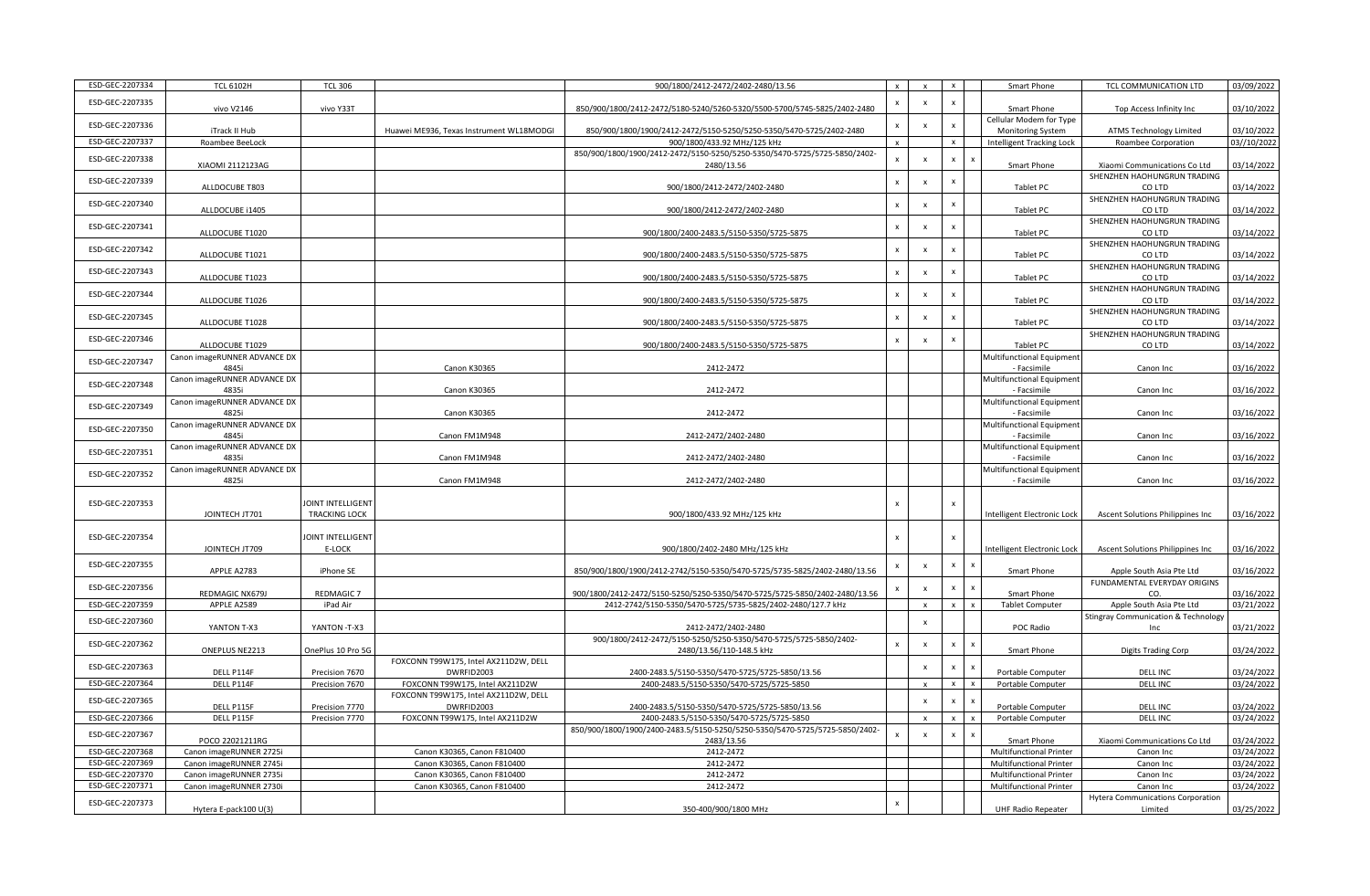| ESD-GEC-2207334 | <b>TCL 6102H</b>                 | <b>TCL 306</b>       |                                                     | 900/1800/2412-2472/2402-2480/13.56                                                                 | $\mathsf{x}$              | $\mathbf{x}$              | $\boldsymbol{\mathsf{x}}$ | Smart Phone                        | TCL COMMUNICATION LTD                                 | 03/09/2022                |
|-----------------|----------------------------------|----------------------|-----------------------------------------------------|----------------------------------------------------------------------------------------------------|---------------------------|---------------------------|---------------------------|------------------------------------|-------------------------------------------------------|---------------------------|
| ESD-GEC-2207335 |                                  |                      |                                                     |                                                                                                    | $\boldsymbol{\mathsf{x}}$ | $\mathsf{x}$              | $\boldsymbol{\mathsf{x}}$ |                                    |                                                       |                           |
|                 | vivo V2146                       | vivo Y33T            |                                                     | 850/900/1800/2412-2472/5180-5240/5260-5320/5500-5700/5745-5825/2402-2480                           |                           |                           |                           | Smart Phone                        | Top Access Infinity Inc                               | 03/10/2022                |
| ESD-GEC-2207336 |                                  |                      |                                                     |                                                                                                    | $\boldsymbol{\mathsf{X}}$ | $\pmb{\times}$            | $\boldsymbol{\mathsf{x}}$ | Cellular Modem for Type            |                                                       |                           |
| ESD-GEC-2207337 | iTrack II Hub<br>Roambee BeeLock |                      | Huawei ME936, Texas Instrument WL18MODGI            | 850/900/1800/1900/2412-2472/5150-5250/5250-5350/5470-5725/2402-2480<br>900/1800/433.92 MHz/125 kHz | $\mathsf{x}$              |                           | $\boldsymbol{\mathsf{x}}$ | <b>Monitoring System</b>           | <b>ATMS Technology Limited</b><br>Roambee Corporation | 03/10/2022<br>03//10/2022 |
|                 |                                  |                      |                                                     |                                                                                                    |                           |                           |                           | Intelligent Tracking Lock          |                                                       |                           |
| ESD-GEC-2207338 | XIAOMI 2112123AG                 |                      |                                                     | 850/900/1800/1900/2412-2472/5150-5250/5250-5350/5470-5725/5725-5850/2402-<br>2480/13.56            | $\mathsf x$               | $\boldsymbol{\mathsf{x}}$ | $\pmb{\mathsf{x}}$        | Smart Phone                        | Xiaomi Communications Co Ltd                          | 03/14/2022                |
|                 |                                  |                      |                                                     |                                                                                                    |                           |                           |                           |                                    | SHENZHEN HAOHUNGRUN TRADING                           |                           |
| ESD-GEC-2207339 | ALLDOCUBE T803                   |                      |                                                     | 900/1800/2412-2472/2402-2480                                                                       | $\pmb{\mathsf{x}}$        | $\boldsymbol{\mathsf{x}}$ | $\boldsymbol{\mathsf{x}}$ | Tablet PC                          | CO LTD                                                | 03/14/2022                |
|                 |                                  |                      |                                                     |                                                                                                    |                           |                           |                           |                                    | SHENZHEN HAOHUNGRUN TRADING                           |                           |
| ESD-GEC-2207340 | ALLDOCUBE i1405                  |                      |                                                     | 900/1800/2412-2472/2402-2480                                                                       | $\pmb{\times}$            | $\pmb{\times}$            | $\boldsymbol{\mathsf{x}}$ | Tablet PC                          | CO LTD                                                | 03/14/2022                |
|                 |                                  |                      |                                                     |                                                                                                    |                           |                           |                           |                                    | SHENZHEN HAOHUNGRUN TRADING                           |                           |
| ESD-GEC-2207341 | ALLDOCUBE T1020                  |                      |                                                     | 900/1800/2400-2483.5/5150-5350/5725-5875                                                           | $\mathbf{x}$              | $\boldsymbol{\mathsf{x}}$ | X                         | Tablet PC                          | CO LTD                                                | 03/14/2022                |
| ESD-GEC-2207342 |                                  |                      |                                                     |                                                                                                    | $\mathbf{x}$              | $\boldsymbol{\mathsf{x}}$ | $\boldsymbol{\mathsf{x}}$ |                                    | SHENZHEN HAOHUNGRUN TRADING                           |                           |
|                 | ALLDOCUBE T1021                  |                      |                                                     | 900/1800/2400-2483.5/5150-5350/5725-5875                                                           |                           |                           |                           | Tablet PC                          | CO LTD                                                | 03/14/2022                |
| ESD-GEC-2207343 |                                  |                      |                                                     |                                                                                                    | $\mathbf{x}$              | $\boldsymbol{\mathsf{x}}$ | $\pmb{\times}$            |                                    | SHENZHEN HAOHUNGRUN TRADING                           |                           |
|                 | ALLDOCUBE T1023                  |                      |                                                     | 900/1800/2400-2483.5/5150-5350/5725-5875                                                           |                           |                           |                           | Tablet PC                          | CO LTD                                                | 03/14/2022                |
| ESD-GEC-2207344 |                                  |                      |                                                     |                                                                                                    | $\,$ X                    | $\pmb{\times}$            | $\boldsymbol{\mathsf{x}}$ |                                    | SHENZHEN HAOHUNGRUN TRADING                           |                           |
|                 | ALLDOCUBE T1026                  |                      |                                                     | 900/1800/2400-2483.5/5150-5350/5725-5875                                                           |                           |                           |                           | Tablet PC                          | CO LTD                                                | 03/14/2022                |
| ESD-GEC-2207345 |                                  |                      |                                                     |                                                                                                    | $\mathbf{x}$              | $\boldsymbol{\mathsf{x}}$ | $\boldsymbol{\mathsf{x}}$ |                                    | SHENZHEN HAOHUNGRUN TRADING                           |                           |
|                 | ALLDOCUBE T1028                  |                      |                                                     | 900/1800/2400-2483.5/5150-5350/5725-5875                                                           |                           |                           |                           | Tablet PC                          | CO LTD                                                | 03/14/2022                |
| ESD-GEC-2207346 | ALLDOCUBE T1029                  |                      |                                                     | 900/1800/2400-2483.5/5150-5350/5725-5875                                                           | $\boldsymbol{\mathsf{x}}$ | $\pmb{\times}$            | $\boldsymbol{\mathsf{x}}$ | Tablet PC                          | SHENZHEN HAOHUNGRUN TRADING<br>CO LTD                 | 03/14/2022                |
|                 | Canon imageRUNNER ADVANCE DX     |                      |                                                     |                                                                                                    |                           |                           |                           | Multifunctional Equipment          |                                                       |                           |
| ESD-GEC-2207347 | 4845i                            |                      | <b>Canon K30365</b>                                 | 2412-2472                                                                                          |                           |                           |                           | - Facsimile                        | Canon Inc                                             | 03/16/2022                |
|                 | Canon imageRUNNER ADVANCE DX     |                      |                                                     |                                                                                                    |                           |                           |                           | Multifunctional Equipment          |                                                       |                           |
| ESD-GEC-2207348 | 4835i                            |                      | <b>Canon K30365</b>                                 | 2412-2472                                                                                          |                           |                           |                           | - Facsimile                        | Canon Inc                                             | 03/16/2022                |
|                 | Canon imageRUNNER ADVANCE DX     |                      |                                                     |                                                                                                    |                           |                           |                           | Multifunctional Equipment          |                                                       |                           |
| ESD-GEC-2207349 | 4825i                            |                      | <b>Canon K30365</b>                                 | 2412-2472                                                                                          |                           |                           |                           | - Facsimile                        | Canon Inc                                             | 03/16/2022                |
| ESD-GEC-2207350 | Canon imageRUNNER ADVANCE DX     |                      |                                                     |                                                                                                    |                           |                           |                           | Multifunctional Equipment          |                                                       |                           |
|                 | 4845i                            |                      | Canon FM1M948                                       | 2412-2472/2402-2480                                                                                |                           |                           |                           | - Facsimile                        | Canon Inc                                             | 03/16/2022                |
| ESD-GEC-2207351 | Canon imageRUNNER ADVANCE DX     |                      |                                                     |                                                                                                    |                           |                           |                           | Multifunctional Equipment          |                                                       |                           |
|                 | 4835i                            |                      | Canon FM1M948                                       | 2412-2472/2402-2480                                                                                |                           |                           |                           | - Facsimile                        | Canon Inc                                             | 03/16/2022                |
| ESD-GEC-2207352 | Canon imageRUNNER ADVANCE DX     |                      |                                                     |                                                                                                    |                           |                           |                           | <b>Multifunctional Equipment</b>   |                                                       |                           |
|                 | 4825i                            |                      | Canon FM1M948                                       | 2412-2472/2402-2480                                                                                |                           |                           |                           | - Facsimile                        | Canon Inc                                             | 03/16/2022                |
|                 |                                  |                      |                                                     |                                                                                                    |                           |                           |                           |                                    |                                                       |                           |
| ESD-GEC-2207353 |                                  | JOINT INTELLIGENT    |                                                     |                                                                                                    | $\boldsymbol{\mathsf{X}}$ |                           | $\boldsymbol{\mathsf{x}}$ |                                    |                                                       |                           |
|                 | JOINTECH JT701                   | <b>TRACKING LOCK</b> |                                                     | 900/1800/433.92 MHz/125 kHz                                                                        |                           |                           |                           | Intelligent Electronic Lock        | Ascent Solutions Philippines Inc                      | 03/16/2022                |
| ESD-GEC-2207354 |                                  | JOINT INTELLIGENT    |                                                     |                                                                                                    | x                         |                           | X                         |                                    |                                                       |                           |
|                 | JOINTECH JT709                   | E-LOCK               |                                                     | 900/1800/2402-2480 MHz/125 kHz                                                                     |                           |                           |                           | <b>Intelligent Electronic Lock</b> | Ascent Solutions Philippines Inc                      | 03/16/2022                |
|                 |                                  |                      |                                                     |                                                                                                    |                           |                           |                           |                                    |                                                       |                           |
| ESD-GEC-2207355 | APPLE A2783                      | iPhone SE            |                                                     | 850/900/1800/1900/2412-2742/5150-5350/5470-5725/5735-5825/2402-2480/13.56                          | $\pmb{\mathsf{x}}$        | $\boldsymbol{\mathsf{x}}$ | $\pmb{\mathsf{x}}$        | Smart Phone                        | Apple South Asia Pte Ltd                              | 03/16/2022                |
|                 |                                  |                      |                                                     |                                                                                                    |                           |                           |                           |                                    | FUNDAMENTAL EVERYDAY ORIGINS                          |                           |
| ESD-GEC-2207356 | REDMAGIC NX679J                  | <b>REDMAGIC 7</b>    |                                                     | 900/1800/2412-2472/5150-5250/5250-5350/5470-5725/5725-5850/2402-2480/13.56                         |                           | $\boldsymbol{\mathsf{x}}$ | $\boldsymbol{\mathsf{x}}$ | Smart Phone                        | CO.                                                   | 03/16/2022                |
| ESD-GEC-2207359 | APPLE A2589                      | iPad Air             |                                                     | 2412-2742/5150-5350/5470-5725/5735-5825/2402-2480/127.7 kHz                                        |                           | $\mathsf{x}$              | $\mathbf{x}$              | <b>Tablet Computer</b>             | Apple South Asia Pte Ltd                              | 03/21/2022                |
| ESD-GEC-2207360 |                                  |                      |                                                     |                                                                                                    |                           | $\boldsymbol{\mathsf{x}}$ |                           |                                    | <b>Stingray Communication &amp; Technology</b>        |                           |
|                 | YANTON T-X3                      | YANTON -T-X3         |                                                     | 2412-2472/2402-2480                                                                                |                           |                           |                           | POC Radio                          | Inc                                                   | 03/21/2022                |
| ESD-GEC-2207362 |                                  |                      |                                                     | 900/1800/2412-2472/5150-5250/5250-5350/5470-5725/5725-5850/2402-                                   | $\boldsymbol{\mathsf{x}}$ | $\pmb{\times}$            | $\boldsymbol{\mathsf{x}}$ |                                    |                                                       |                           |
|                 | ONEPLUS NE2213                   | OnePlus 10 Pro 5G    |                                                     | 2480/13.56/110-148.5 kHz                                                                           |                           |                           |                           | Smart Phone                        | Digits Trading Corp                                   | 03/24/2022                |
| ESD-GEC-2207363 |                                  |                      | FOXCONN T99W175, Intel AX211D2W, DELL               |                                                                                                    |                           | $\boldsymbol{\mathsf{x}}$ | $\boldsymbol{\mathsf{x}}$ |                                    |                                                       |                           |
| ESD-GEC-2207364 | DELL P114F                       | Precision 7670       | DWRFID2003                                          | 2400-2483.5/5150-5350/5470-5725/5725-5850/13.56                                                    |                           |                           |                           | Portable Computer                  | <b>DELL INC</b>                                       | 03/24/2022                |
|                 | DELL P114F                       | Precision 7670       | FOXCONN T99W175, Intel AX211D2W                     | 2400-2483.5/5150-5350/5470-5725/5725-5850                                                          |                           |                           | $\boldsymbol{\mathsf{x}}$ | Portable Computer                  | <b>DELL INC</b>                                       | 03/24/2022                |
| ESD-GEC-2207365 | DELL P115F                       | Precision 7770       | FOXCONN T99W175, Intel AX211D2W, DELL<br>DWRFID2003 | 2400-2483.5/5150-5350/5470-5725/5725-5850/13.56                                                    |                           | $\pmb{\chi}$              | $\pmb{\mathsf{x}}$        | Portable Computer                  | <b>DELL INC</b>                                       | 03/24/2022                |
| ESD-GEC-2207366 | DELL P115F                       | Precision 7770       | FOXCONN T99W175, Intel AX211D2W                     | 2400-2483.5/5150-5350/5470-5725/5725-5850                                                          |                           |                           | $\boldsymbol{\mathsf{x}}$ | Portable Computer                  | <b>DELL INC</b>                                       | 03/24/2022                |
|                 |                                  |                      |                                                     | 850/900/1800/1900/2400-2483.5/5150-5250/5250-5350/5470-5725/5725-5850/2402-                        |                           |                           |                           |                                    |                                                       |                           |
| ESD-GEC-2207367 | POCO 22021211RG                  |                      |                                                     | 2483/13.56                                                                                         | $\mathbf{x}$              | $\boldsymbol{\mathsf{x}}$ | $\boldsymbol{\mathsf{x}}$ | Smart Phone                        | Xiaomi Communications Co Ltd                          | 03/24/2022                |
| ESD-GEC-2207368 | Canon imageRUNNER 2725i          |                      | Canon K30365, Canon F810400                         | 2412-2472                                                                                          |                           |                           |                           | <b>Multifunctional Printer</b>     | Canon Inc                                             | 03/24/2022                |
| ESD-GEC-2207369 | Canon imageRUNNER 2745i          |                      | Canon K30365, Canon F810400                         | 2412-2472                                                                                          |                           |                           |                           | <b>Multifunctional Printer</b>     | Canon Inc                                             | 03/24/2022                |
| ESD-GEC-2207370 | Canon imageRUNNER 2735i          |                      | Canon K30365, Canon F810400                         | 2412-2472                                                                                          |                           |                           |                           | <b>Multifunctional Printer</b>     | Canon Inc                                             | 03/24/2022                |
| ESD-GEC-2207371 | Canon imageRUNNER 2730i          |                      | Canon K30365, Canon F810400                         | 2412-2472                                                                                          |                           |                           |                           | <b>Multifunctional Printer</b>     | Canon Inc                                             | 03/24/2022                |
| ESD-GEC-2207373 |                                  |                      |                                                     |                                                                                                    | $\mathsf{x}$              |                           |                           |                                    | <b>Hytera Communications Corporation</b>              |                           |
|                 | Hytera E-pack100 U(3)            |                      |                                                     | 350-400/900/1800 MHz                                                                               |                           |                           |                           | <b>UHF Radio Repeater</b>          | Limited                                               | 03/25/2022                |